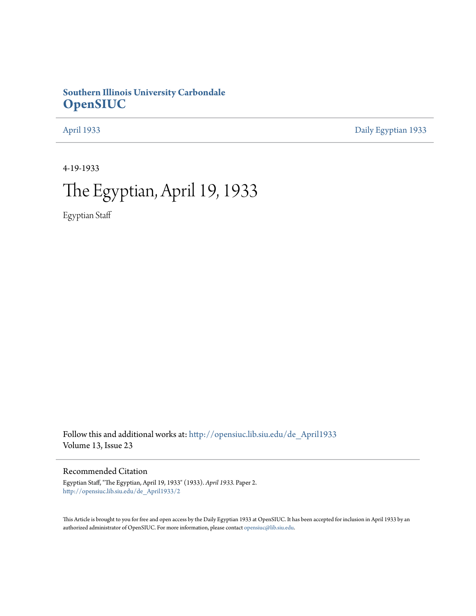### **Southern Illinois University Carbondale [OpenSIUC](http://opensiuc.lib.siu.edu?utm_source=opensiuc.lib.siu.edu%2Fde_April1933%2F2&utm_medium=PDF&utm_campaign=PDFCoverPages)**

[April 1933](http://opensiuc.lib.siu.edu/de_April1933?utm_source=opensiuc.lib.siu.edu%2Fde_April1933%2F2&utm_medium=PDF&utm_campaign=PDFCoverPages) [Daily Egyptian 1933](http://opensiuc.lib.siu.edu/de_1933?utm_source=opensiuc.lib.siu.edu%2Fde_April1933%2F2&utm_medium=PDF&utm_campaign=PDFCoverPages)

4-19-1933

# The Egyptian, April 19, 1933

Egyptian Staff

Follow this and additional works at: [http://opensiuc.lib.siu.edu/de\\_April1933](http://opensiuc.lib.siu.edu/de_April1933?utm_source=opensiuc.lib.siu.edu%2Fde_April1933%2F2&utm_medium=PDF&utm_campaign=PDFCoverPages) Volume 13, Issue 23

### Recommended Citation

Egyptian Staff, "The Egyptian, April 19, 1933" (1933). *April 1933.* Paper 2. [http://opensiuc.lib.siu.edu/de\\_April1933/2](http://opensiuc.lib.siu.edu/de_April1933/2?utm_source=opensiuc.lib.siu.edu%2Fde_April1933%2F2&utm_medium=PDF&utm_campaign=PDFCoverPages)

This Article is brought to you for free and open access by the Daily Egyptian 1933 at OpenSIUC. It has been accepted for inclusion in April 1933 by an authorized administrator of OpenSIUC. For more information, please contact [opensiuc@lib.siu.edu](mailto:opensiuc@lib.siu.edu).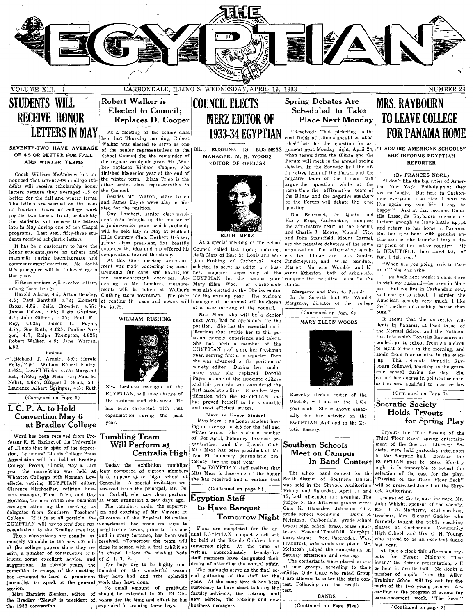

## STUDENTS WILL RECEIVE HONOR **LETTERS IN MAY**

nounced that seventy-two college studebts will receive scholarship honor other senior class replies  $\frac{1}{2}$  and  $\frac{1}{2}$  are connected. letters because they averaged  $\ldots$ 5 or the Council.<br>better for the fall and winter terms better for the fall and winter terms. Besides Mr. Walker, Marc Green<br>The letters are warded on the basis and James Payne were also nemin-The letters are warded on the basis and James Payne were also integral on the position. of fourteen hours of college work ated for the position. for the two terms. In all probability the students will receive the letters dent, also brought up the matter of late in May during one of the Chapel a junior-senior prom which probably programs. Last year, fifty-three stu-<br>programs. Last year, fifty-three stu-<br>don't received coholectie letters.<br>Hills Country Club. Herbert Bricket,

honor students serve as ushers and I co-operation toward the dance.<br>marshalls during baccalaureate and  $\begin{bmatrix} 0 & -\text{operator} \\ 0 & +\text{ this sum} \end{bmatrix}$  must him marshalls during baccalaureate and At this same me ting announce-<br>commencement exercises. No doubt. commencement exercises. No doubt ment was made concering the meas-<br>this procedure will be followed again memoria, the same and meas-

Cross, 4.55; Zella Crowder, 4.55; be \$1.75. James Dillow, 4.65; Lista Gardner, 4.5; John Gilbert, 4.75; Paul Mc-Roy,  $4.625$ ; James L. Payne, 4.77; Gus Roth, 4:625; Pauline Sorgen,  $4:7$ ; Ralph Thompson,  $4.625$ ; Robert Walker, 4:5; Jane Warren, 4.82.

### Juniors

Richard T. Arnold, 5:0; Harold Felty, 4:61; William Robert Finley, 4:625: Lowell Hicks, 4:75: Margaret Hill; 4:625; Ruth Merz, 4.5; Paul H. Nehrt, 4.625; Samuel J. Scott, 5.0; Laurence Albert Springer, 4:5; Ruth  $(Continued on Page 6)$ 

### $I. C. P. A.$  to Hold Convention May 6 at Bradley College

Word has been received from Professor R. R. Barlow of the University of Illinois that in spite of the depression, the annual Illinois College Press Association will be held at Bradley Heitman, the new editor and business at West Frankfort a few days ago.<br>manager attending the meeting as The tumblers, under the supervismanager attending the meeting as delegates from Southern Teachers'

mensely valuable to the new officials received. -Tomorrow the team will of the college papers since they re- close its season with a final exhibition ceive a number of constructive crit- in chapel before the student body icisms, some excellent advice, and of S. I. T. S.  $\left|\frac{\text{staff members have designated their suggestions. In former years, the number of additional affairs are not possible.}{}\right|$ suggestions. In former years, the The boys are to be highly com-<br>committee in charge of the meeting, mended on the wonderful season committee in charge of the meeting. has arranged to have a prominent they have had and tthe splendid journalist to speak at the general work they have done. journali~t to speak at the general .work they have done. . ses~i.on. No small amount of gratItude

### Robert Walker is Elected to Council; Replaces D. Cooper At a meeting of the senior class

held last Thursday morning, Robert<br>Walker was elected to serve as one SEVENTY-TWO HAVE AVERAGE  $\begin{bmatrix} \text{water} & \text{wa} & \text{electric} & \text{water} & \text{wa} & \text{acceler} \\ \text{Schoel} & \text{of the semi} & \text{reper} & \text{b} & \text{BILL} & \text{RUSIMS} & \text{BUSIMSSS} \end{bmatrix}$  is representatives to the BILL RUSHING IS BUSINESS gument next Monday night, April 24, "I 4.5 OR BETTER FOR FALL School Council for the remainder of MANAGER; M. E. WOODS AND WINTER TERMS  $\begin{bmatrix} 1 & 0 & 0 \\ 0 & 0 & 0 \\ 0 & 0 & 0 \end{bmatrix}$ the regular academic year. Mr. Walker replaces Richard Cooper, who finished his senior year at the end of Coach William McAndrew has an-<br>unced that seventy-two college stu-<br>the will receive scholarship honor other senior class representative to<br>his will receive scholarship honor other senior class representative to

dents received scholastic letters.<br>It has been customary to have the junior class president, has been customary to have the adversal the identity of the model hemotic letters. endorsed the idea and has offered his

this procedure will be followed again  $\frac{1}{2}$  urements for caps and governs for this year. is year.<br>Fifteen seniors will receive letters, cording to Mr. Lambert, measure-Fifteen seniors will receive letters, cording to Mr. Lambert, measurements will be taken at Walker's Harold 'Adams, 4.5; Afton Beasley, Clothing store downtown. The price 4.5; Paul Benthall, 4.73; Kenneth of renting the cans and gowns will



Xew business manager of the EGYPTIAN, will take charge of the business staff this week. He has been connected with that organization during the past year.

### Tumbling Team Will Perform at Centralia High

College, Peoria, Illinois, May 6. Last | Today the exhibition tumbling year the convention was held at team composed of eigteen members Wheaton Collegge with Norman Lov- is to appear at te high school at allette retiring EGVPTIAN editor Centralia. A special invitation was ellette, retiring EGYPTIAN editor, Centralia. A special invitation was<br>Clarence Kirchoeffer, retiring busi-received from the principal, Mr. Os-Clarence Kirchoeffer, retiring busi- received from the principal, Mr. Os-<br>ness manager, Elma Trieb, and Hay car Corbell, who saw them perform

ion and coaching of Mr. Vincent Di College. If it is at all possible, the Giovanna of the Physical Education EGYPTIAN will try to send four rep- Idepartment, has made six trips to resentatives to the Bradley meeting. | neighboring towns, prior to this one These conventions are usually im- and in every instance, has been well

Miss Harriett Slenker, editor of should be extended to Mr. Di Gio- $\cdot$  expended in training these boys.

## COUNCIL ELECTS MERZ EDITOR OF 1933-34 EGYPTIAN



Council called last Friday morning, organization. The affirmative speakness mapager respectively of the eanor Etherton, both of arbondale,

 $M$  is Merz, who will be a Senior (Continued on Page 6) ours."<br>
Miss Merz, who will be a Senior  $M \sim \frac{(Continued on Page 6)}{M \cdot N}$  of the university stu-She has been a member of the EGYPTIAN staff since her freshman year, serving first as a reporter. Then she was advanced to the position of society editor. During her sophomore year she replaced Donald mark with the secondary payries. The second Payne as one of the associate editors and this year she was considered the first associate editor. Since her identification with the EGYPTIAN she has proved herself to he a capable and most efficient writer.

### Merz an Honor Student

Miss Merz is an honor student having an average of  $\pm 5$  for the fall and winter terms. She is also a member of For-Ag-Il, honorary forensic organization; and the French Club. Miss Merz has been president of Mu Tau Pi, honorary journalistic fra-

ternity, for the past year.<br>The EGYPTIAN staff realizes that The EGYPTIAN staff realizes that night it is impossible to reveal the miss Merz is deserving of the honor night it is impossible to reveal the play.

### (Continued on page 6)

### Egyptian Staff to Have Banquet

Tomorrow Night

the Bradley "News!" is president of vanna for the time and effort he has new editors, the retiring and new the 1933 convention. cial gathering of the staff for the <sup>2011</sup> control of the same time it has been letter allowed to enter the state con-<br>year. At the same time it has been letter allowed to enter the state con-<br>graphing School will try out faculty advisors, the retiring and test.<br>
BANDS commencement weak "The Sumple

### Spring Debates Are Scheduled to' Take

"Resolved: That ,picketing in the coal fields of Illinois should be aboltotal tradition for server was elected to server as one ished" will be the question for ar-<br>gument next Monday night, April 24, "I ADMIRE AMERICAN SCHOOLS". EDITOR OF OBELISK Forum will meet in the annual spring REPORTER debates. In the Socratic hall the af firmative team of the Forum and the negative team of the Illinae will<br>|argue=the question, while at the of the F<br>question. same time the affirmative team of the Illinae and the negative speakers of the Forum will debate the same

Don Brummet, Du Quoin, and tila Lasso de Raybourn seemed rethe affirmative team of the Forum, and return to her home in Panama. Harry Moss, Carbordale, compose luctant enough to leave Little Egypt I am I charlie J. Moore, Mound City, But her eyes hone with genuine en-<br>and John Stansfield, Mount Carmel, thusiasm as she launched into a de-RUTH MERZ and Graphie 3. Moore, Mount City, But her eyes hone with genuine en-<br>At a special meeting of the School are the negative debaters of the same shamed thus a de-<br> $\frac{d}{dt}$  are the negative debaters of the same ser Ruth Merz of East St. Louis and Wil- | ers for Illinae are Lois Snider, liam Rushing of CarborJu: were Pinckneyville, and Wilbe Sandner. "When are you going back to Panselected to serve as editor at d busi- Marior. Marjorie Womble and El-EGYPTIAN for the coming year, compose the negative team for the



Recently elected editor of the Obelisk, will publish the 1934 year-book. She is known especially for her activity on the EGYPTIAN staff and in the Ze-<br>tetic Society.

Miss Merz is deserving of the honor The school band contest for the selection of the cast for the play.<br>she has received and is certain that South district of Southern Illinois "Passing of the Third Floor Back" South district of Southern Illinois was held in the Shryock Auditorium Friday and Saturday, April 14 and ock Auditorium.<br>15, both afternoon and evening. The  $\vert$  Judges of the 15. both afternoon and evening. The  $J$  Judges of the tryouts included Mr. judges of the society. Gale K. Blakeslee, Johnston City, Mrs. J. A. Marberry, local speaking<br>grade school woodwinds: David S. teachers, Mrs. Richard Gadske, who grade school woodwinds: David S. teachers, Mrs. Richard Gadske, who<br>Melntosh, Carbondale, grade school formerly taught the public speaking Plans are completed for the and brass; high school brass, brass quar-<br>Plans are completed for the and brass; high school brass, brass quar-<br>nual EGYPTIAN hanouet which will tettes; Howard Thrailkill, Murphys- High School, nual EGYPTIAN banquet which will entered at the maintin, wurphyse High School, and Mrs. O. H. Young,<br>be held at the Kuehle Chicken farm boro, drums; Theo. Paschedag, West who proved to be an excellent judge be held at the Kuenie Chicken  $\tan m$  Frankfort, woodwinds and piano. Mr. last year.<br>tomorrow night. At the time of McIntosh judged the contestants on At four writing approximately twenty-five McIntosh judged the contestants on At four o'clock this afternoon try-<br>writing approximately twenty-five Saturay afternoon and evening.<br>the financial contest on the contest of the contest

### (Continued on Page Five) (Continued on page 2)

## Place Next Monday. TO LEAVE COLLEGE MRS. RAYBOURN FOR PANAMA HOME

### (By FRANCES NOEL)

"I don't like the big cities of America-New York, Philadelphia; they are so lonely. But here in Carbondale everyone is so nice. I start to live again my own life-I can be<br>happy!" And at that moment Dona-And at that moment Donascription of her native country. "It<br>is BEAUTIFUL there—and lots of<br>fun, I tell you."

ama." she was asked.

4.5; Paul Benthall, 4.73; Kenneth of renting the caps and gowns will manager of the annual will be chosen | Margrave, director of the collector American schools very much, I like<br>The state is a later meeting of the counci "I go back next week; I come here<br>to visit my husband—he lives in Mar-Mary Ellen Woo.:: of Carbo:dale' Illinae.<br>was also elected as the Obelisk editor Margarye and Mary to Preside. [100. But we live in Carbondale now, was also elected as the Obelisk editor Margarve and Merz to Preside (200). But we live in Carbondale now,<br>for the ensuing year. The business. In the Socratic hall Mr. Wendell, so I can go to school. I admier the

> next year, had no opponents for the MARY ELLEN WOODS It seems that the university stu-<br>nosition. She has the essential onal MARY ELLEN WOODS dents in Panama, at least those of In the main of the spential qual-<br>Interiors that entitle her to this no. ifications that entitle her to this po- the stational School and the National School and the Sational school and the stational school and the stational school and the stational school and the station of the station of the sition, namely, experience and talent.<br>She has been a member of the **institute which is a second from six o'clock** to eight o'clock in the morning, and again from four to nine in the evening. This schedule Donatila Raybourn followed, teaching in the grammal' school during the day. She earned her degree in political science,<br>and is now qualified to practice law

> > $\overline{\text{Continued on Page 6}}$

# Socratic Society<br>Holds Tryouts

Tryouts for "The Passing of the Third Floor Back" spring entertain-Southern Schools | ment of the Socratic Literary So-Meet on  $C$ ampus  $\begin{bmatrix} \text{city, were held yesterday afternoon} \\ \text{in the Sormic ball} \end{bmatrix}$ in the Socratic hall. Because the In Band Contest EGYPTIAN goes to press Monday will be presented June 1 at the Shry-

John Whight, sponsor of the society,

staff members have designated their Saturay afternoon and evening. outs for Ferenc Molnar's "The state" of a state of a state of a state of a state of a state of a state of a state of a state of a state of a state of a st The contestants were placed in one Swan," the Zetetic presentation, will<br>of four groups, according to their be held in Zetetic hall. No doubt a The banquets serve as the final  $\text{so} \cdot \text{as}$  of four groups, according to their be held in Zetetic hall. No doubt a The banquets serve as the final  $\text{so} \cdot \text{as}$  only those who rated Group number of pupils from the All commencement week, "The Swan"

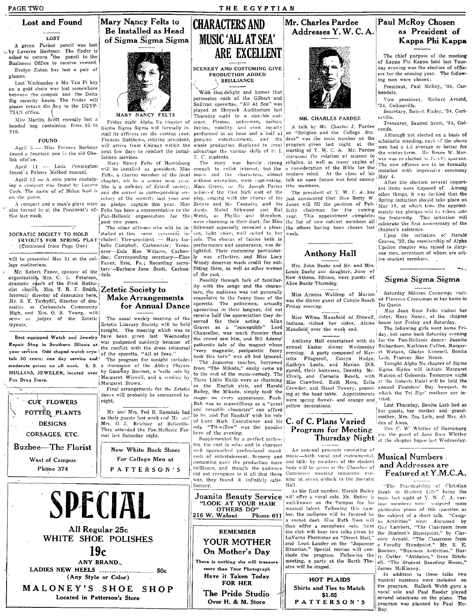PAGE TWO

## Lost and Found

#### 1.057

A green Parker pencil was lost 15 by Laverne Hemmer. The finder is<br>asked to return the pencil to the Busineess Office to receive reward. Evelyn Eaton has lost a pair of glasses.

Last Wednesday a Mu Tau Pi key on a gold chain was lost somewhere between the campus and the Delta Sig sorority house. The finder will please return the key to the EGYP-TIAN office.

Miss Martha Scott recently lost a beaded bag containing from \$5 to \$10.

#### FOUND

lisk ofofice.

Anril  $11 -$ Leda Pennington found'a Palmer Method manual.

on the purse.

fice last week.

SOCRATIC SOCIETY TO HOLD (Continued from Page One)

will be presented May 31 at the college auditorium.

Mr. Robert Faner, sponsor of the earlyorganization, Mrs. C. L. Peterson, dramatic coach of the First Methodist church, Mrs. T. B. F. Smith, Zetetic Society to formerly director of dramatics here, Mr. S. T. Turbyfill, director of dramatics at Carbondale Community.<br>High, and Mrs. O. B. Young, will; serve as judges of the Zetetic tryouts.

Best equipped Watch and Jewelry Repair Shop in Southern Illinois at Was postponed suddenly because of<br>your service. Odd shaped watch crys- the conflict with the dress rehearsal<br>of the operetta, "All at Seea." tals 50 cents; one day service and moderate prices on all work. S. S. a discussion of the Abbey Players. MULLINS, JEWELER, located over by Gasaway Bovinet, a 'cello solo by Fox Drug Store.

CUT FLOWERS POTTED PLANTS **DESIGNS** CORSAGES, ETC. **Buzbee-The Florist** 

West of Campus

Phone 374





Sigma Sigma Sigma will formally install its officers for the coming year. Frances Matthews, retiring president, April 5 - Miss Frances Barbour will arrive from Chicago within the found a fountain pen in the old Obe- next few days to conduct the installations services.

Mary Nancy Felts of Harrisburg will be installed as president. Miss Felts, a charter member of the local April 13 - A coin purse contain-chapter, will be a senior next year. ing a compact was found by Lorene She is a member of Zetetic society, Cook. The name of of Helen Keil is and she served as corresponding secretary of the sorority last year and A compact and a man's glove were as pledge captain this year. Miss also turned in at the President's of- Felts has been a representative to the Pan-Hellenic organization for the past two years.

The other officers who will be installed at this same ceremony in-TRYOUTS FOR SPRING PLAY cluded: Vice-president - Mary Isa- role. The chorus of fairies both in belle Campbell, Carbondale: Treasurer-Eula Mae Wiliams, Carbondae; Corresponding secretary-Elsie Faner, Erie, Pa.; Recording secretary-Barbara Jane Scott, Carbon-

### **Make Arrangements** for Annual Dance

The usual weekly meeting of the Zetetic Literary Society will be held tonight. The meeting which was to have been given last Wednesday

The program for tonight includes Margaret Wiswell, and a reading by Margaret Brown.

Final arrangements for the Zetetic dance will probably be announced tonight.

Mr. and Mrs. Ted R. Ragsdale had as their guests last week-end Mr. and Mrs. O. J. Brichler of Belleville. They attended the Pan-Hellenic Formal last Saturday night.

New White Buck Shoes For College Men at PATTERS GN'S



## **CHARACTERS AND MUSIC 'ALL AT SEA' ARE EXCELLENT**

SCENERY AND COSTUMING GIVE **PRODUCTION ADDED** BRILLIANCE

With the delight and humor that permeates each of the Gilbert and Sullivan operettas, "All At Sea" was played at Shrvock Auditorium last Thursday might to a sizenble aud-Friday night Alpha Nu chapter of ience. Pirates, policemen, sailors, fairies, nobility, and even royalty performed in an hour and a half of T. C. students.

The story enough to enlist interest, but the a consideration of the Bible for the music and the characters, almost modern mind. At the close of his without exception, were captivating. Marc Green, as Sir Joseph Porter the members. achieved the first high spot of the The president of Y, W. C. A. has play, singing with the chorus of his just announced that Miss Betty W. Sisters and his Counsins, and his Aunts. Mabel Silkwood and Hal licity as Phyllis and Strephon, Webb. vere charming in their duet, for Miss Silkwood especially revealed a pleasant, light voice, well suited to her

performance and appearance, was de-.<br>lightful. Their costuming particular- $\overline{w}$  was effective, and Miss Lucy .<br>Woody deserves much credit for outfitting them, as well as other women of the cast.

Possibly through lack of familiarity with the songs and the characters, the audience was not generally responsive to the funny lines of the operetta. The policemen, actually uprearious in their languor, did not receive half the appreciation they deserved for their acting. Allan as a "susceptible" Lord Graves Chancellor, was much funnier than the crowd saw him, and Bill Adams pathentic tale of the magnet whose 'very magnetic, peripatetic fancy took this turn" was all but ignored. The Japanese touches, borrowed from "The Mikado," easily came up to the rest of the music-comedy. The Three Little Maids were as charming the English girls, and Harold Bailey, the Mikado, simply took the stages on every appearance. Pooh-Bah was as supercillious as a "great<br>and versatile character" can afford to be, and Pat Randall' with his role of Lord High Executioner and his C. of C. Plans Varied "Tit-willow" was the popular solo

hero of the evening. Supplemented by a perfect orchestra, the cast in solos and in choruses well approached professional standards of entertainment. Scenery and costuming gave the production more brilliance, and though the audience did not recognize in it all that there was, they found it infinitely satisfactory.

Juanita Beauty Service "LOOK AT YOUR HAIR OTHERS DO"

216 W. Walnut

### **REMEMBER** YOUR MOTHER On Mother's Day

There is nothing she will treasure more than Your Photograph Have it Taken Today FOR HER

The Pride Studio Over H. & M. Store

### Mr. Charles Pardee Addresses Y.W.C.A.



### MR. CHARLES PARDEE

A talk by Mr. Charles J. Pardee on "Religion and the College Stu-

dent" was the main number on the genuine entertainment, and the dent" was the main number on the whole production displayed to great program given last night at the advantage the various skills of S. I. meeting of Y. W. C. A. Mr. Pardee discussed the relation of science to was hardly strong religion, as well as many angles of talk an open forum was held among

Jones will fill the position of Pubchairman for the coming This appointment completes vear. the list of new cabinet members all the others having been chosen last week.

### Anthony Hall

Mrs. John Baehr and Mr. and Mrs. Louis Baehr and daughter, June of New Athens, Illinois, were guests of Alice Baehr Thursday.

Miss Armina Waldrop of Marion was the dinner guest of Connie Beach ed Florence Croessman at her home in Friday evening.

Indiana, visited her sister, Alzine house last Friday and Saturday. Mansfield over the week end.

annual Easter dinner Wednesday Richardson, Kathleen Coffee, Margarevening. A party composed of Mar- et Watson, Gladys Kimmell, Bonita<br>ietta Fitzgerell, Evelyn Hodge, Leib, Frances Mae Moore. Kathryn Lentz, and Marian Dill. guests, their hostesses. Dorothy Mc-Elvain, and Cornelia Beach, with Miss Crawford, Ruth Merz, Zella Crowder, and Hazel Towery, presid- annual Founders' Day banquet, to ing at the head table. Appointments which the Tri Sigs' mothers are inwere spring flowers and orange and vited. yellow decorations.

# Program for Meeting Mrs. C. W. Whittey of January 1941

An unusual program consisting of music-both vocal and instrumental. Musical Numbers. and talks by members of the student body will be given at the Chamber of Commerce meeting tomorrow evening at seven o'clock in the Socratic

As the first number, Harold Bailey will offer a vocal solo. Mr. Bailey is well-known on the Tampus for his musical talent. Following this number, the audience will be favored by a cornet duet. Miss Ruth Noss will then offer a saxophone solo. Next the club will hear two talks given by LaVerne Phemister on "Direct Mail," and Leon Lauder on the "Japanese<br>Situation." Special movies will conclude the program. Following the meeting, a party at the Barth Theatre will be staged.

### HOT PLAIDS Shirts and Ties to Match \$1.65 PATTERSON'S

### Paul McRoy Chosen as President of Kappa Phi Kappa

The chief purpose of the meeting of Kappa Phi Kappa held last Tuesday evening was the election of officers for the ensuing year. The following men were chosen:

President, Paul McRoy, '34, Carbondale.

Vice president, Richard Arnold, 34. Collinsville.

Secretary, Robert Finley, '34, Carterville.

Treasurer, Saumel Scott, '34, Golconda.

Although not elected on a basis of scholastic standing, each of the above men had a 4.5 average or better for the winter term. Mr. Bruce W. Merwin was re-elected as family sporsor. The new officers are to be formally installed with impressive ceremony May 4.

After the election several important items were disposed of. Among other things, it was decided that the Spring initiation should take place on May 18, at which time the approximately ten pledges will be taken into<br>the fraternity. This initiation will celebrate the first anniversary of the chapter's existence.

Upon the initiation of Harold<br>Graves, '33, the membership of Alpha Unsilon chapter was raised to sixtyone men, seventeen of whom are active student members.

Sigma Sigma Sigma

Saturday Mildren Connoway visit-Du Quoin.

Miss Jean Rose Felts visited her Miss Wilma Mansfield of Ottwell, sister, Mary Nancy, at the chapter

The following girls went home Friand the particular content of the content of the state of the content of the content of the content of the content of the content of the content of the content of the content of the content of the content of the content of

Tonight Alpha Nu chapter of Sigma Sigma Sigma will initiate Margaret Watson of Golconda. Tomorrow night at the Roberts Hotel will be held the

Last Thursday, Bonita Leib had as her guests, her mother and grandmother, Mrs. Zoe Leib, and Mrs. Alden of Anna.

Thursday Night at the chapter house last Wednesday.

### and Addresses are Featured at Y.M.C.A.

"The Practicability of Christian Ideals in Student Life" being the topic last night at Y. W. C. A. various members were assigned some particular phase of this question as the subject of a short talk. "Camp-Activities" were discussed by Guy Lambert, "The Classroom from<br>the Student's Standpoint," by Clarence Arnold, "The Classroom from a Faculty Standpoint," Mr. S. E.<br>Boomer, "Business Activities," Harry Cutler, "Athletics," Oran Mitchell, "The Student Boarding House," James McKinney.

In addition to these talks two musical numbers were included on the program. Halleck Webb gave a vocal solo and Paul Reeder played several selections on the piano. The program was planned by Paul Mc-Roy.

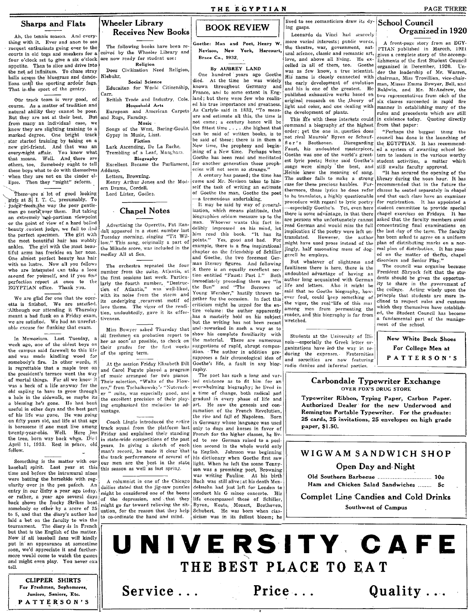Ah, the tennis season. And everything with it. Ever and anon to see racquet enthusiasts going over to the courts in old togs and sneakers for a four o'clock set to give a six o'clock appetite. Then to slice and drive into the net ad infinitum. To chase stray balls across the bluegrass and dandelions until the sporting ardour fags. That is the sport of the gentry.

One track team is very good. of course. As a matter of tradition and natural ability they cannot be poor. But they are not at their best. But from many an individual case, we know they are slighting training to a marked degree. One bright track star started training by taking on a new girl-friend. And that was an every-night affair. You know what<br>that means. Well. And there are others, too. Somebody ought to tell these boys what to do with themselves when they are not on the cinder ellipse. Then they "might" reform.

There-are a lot of good looking Firls at  $S$ . I. T. C., presumably. To judge from the way the poor gentlemen go nertz over them. But taking an extremely non-partisan viewpoint or the point of view of a hard boiled beauty contest judge, we fail to find<br>the perfect specimen. The girl with the most beautiful hair has wobbly ankles. The girl with the most beautiful arms has freckles on her nose. One almost perfect beauty has hair with no lustre. Now all you fellows who are interested can take a look around for yourself, and if you find perfection report at once to the EGYPTIAN office. Thank vou.

We are glad for one that the operetta is finished. We are satisfied. Although our attending it Thursday meant a bad flunk on a Friday exam, we are satisfied. We had an unrefut-<br>able excuse for flunking that exam.

In Memorium. Last Tuesday, a week ago, one of the oldest boys on the campus said farewell to this life and was made kindling wood for<br>somebody's fire. In other words, it is regrettable that a maple tree on the president's terrace went the way of mortal things. For all we know it was a heck of a life anyway for the old sapling to have to grow through a hole in the sidewalk, so maybe its a blessing he's gone. He had been useful in other days and the best part of his life was gone. He was going on fifty years old, and life at that age is boresome if one must live among twenty-year-olds. Well. Here lies the tree, born way back when. Diel April 11, 1933. Rest in peace, old fellow.

Something is the matter with our baseball spirit. Last year at this time and before the intramural nines were batting the horsehide with regularity over in the pea patech. An entry in our diary a year ago today. or rather, a year ago several days back shows the Lucky Strikes beat somebody or other by a score of 25 to 5, and that the diary's author had laid a bet on the faculty to win the tournament. The diary is in French but that is the English of the matter. Now if all baseball fans will kindly put in an appearance at someetime soon, we'd appreciate it and furthermore would come to watch the games and might even play. You never can tell.

> **CLIPPER SHIRTS** For Freshmen, Sophomores, Juniors, Seniors, Etc. PATTERSON'S

### **Wheeler Library Receives New Books**

The following books have been re-<br>ceived by the Wheeler Library and

Religion

Social Science

Educaiton for World Citizenship,

British Trade and Industry, Cole.

European and American Carpets

Songs of the West, Baring-Gould.

Household Arts

Music

Fiction

Lark Ascending, De La Rache.

Trembling of a Leaf, Mangham.

Biography

Excellent Became the Parliament,

Henry Arthur Jones and the Mod-

**Chapel Notes** 

Advertising the Operetta, Pat Ran-

dall appeared in a stunt number last

Tuesday morning, singing "Tit Wil-

low." This song, originally a part of

the Mikado score, was included in the

The orchestra repeated the four

number from the suite, Atlantis, at

the first sessions last week. Particu-

larly the fourth number, "Destruc-

tion of Atlantis," was well-liked,

with its noise from the storm and

its underlying recurrent motif of

love theme. The vigor of the rendi-

tion, undoubtedly, gave it its effec-

Miss Bowyer asked Thursday that

all freshmen on probation report to<br>her as soon as possible, to check on

their grades for the first weeks

At the session Friday Elisabeth Dill

and Carol Fugate played a program

of music arranged for two pianos

Their selection, "Waltz of the Flow-

ers," from Tschaikowsky's "Nuterack-<br>er " suite, was especially good, and

the excellent precision of their play-

ing emphasized the melodies to ad-

Coach Lingle introduced the entire

track squad from the platform last

Friday and explained their standing

in state-wide competitions of the past

years. In giving a sketch of each

man's record, he made it clear that

the track performances of several of

our men are the best in the state

A columnist in one of the Chicago

the depression, and that they

dailies stated that the jig-saw puzzles

might be considered one of the boons

might go far toward relieving the sit-

uation, for the reason that they help

to co-ordinate the hand and mind.

this season as well as last spring.

Gypsy in Music, Liszt.

Letters, Browning.

Lord Lister, Godles.

rn Drama, Cordell.

medley All at Sea.

tiveness.

vantage.

of

of the spring term.

Does Civilization Need Religion,

are now ready for student use:

Niebuhr.

ddams.

and Rugs, Faraday.

Carr.



Goethe: Man and Poet, Henry W. Nevison, New York, Harcourt, Brace Co., 1932.

By AUBREY LAND

One hundred vears ago Goethe died. At the time he was widely known throughout Germany and France, and to some extent in England; but there were few who realiz ed his true importance and greatness.<br>As Carlyle said in 1832, "To measure and estimate all this, the time is not come: a century hence will be the fittest time . . , . . the highest that can be said of written books, is to be said of these; there is in them a New time, the prophesy and beginining of a New time. Perhaps when Goethe has been read and meditated for another generation these prophecies will not seem so strange."

A century has nassed: the time has come and Mr. Nevison takes to himself the task of writing an estimate of Goethe the man, Goethe the poet a tremendous undertaking.

It may be said by way of general ization, which means platitude. that biographies seldom measure up to the Whoever wants this fact inman. delibly impressed on his mind, let him read this book. "It has its points." Yes, good and bad. For example, there is a fine inspirational chapter on the friendship of Schiller and Goethe, the two foremost German literary figures. And following it there is an equally excellent section entitled "Faust: Part I." Both immediately preceding them are "In the Sun" and "The Sorrows  $\circ$ f Young Wersher," hastily thrown together for the occasion. In fact this criticism might be urged for the entire volume: the author apparently has a masterly hold on his subject but the writing has not been recast and reworked in such a way as to show his complete familiarity with the material. There are numerous suggestions of rapid, abrupt composition. The author in addition presupposes a fair chronological idea of Goethe's life, a fault in any biography.

The poet has such a long and varied existence as to fit him for an overwhelming biography; he lived in a time of change, both radical and gradual in every phase of life and art. He saw the genesis and consumation of the French Revolution,

the rise and fall of Napoleon. Born in Germany whose language was used only to dogs and horses in favor of French for the higher classes, he lived to see German raised to a position second in the whole world only to English. Johnson was beginning his dictionary when Goethe first saw light. When he left the scene Tennyson was a promising poet, Browning

was writing Pauline. At his birth Bach was still alive: at his death Mendelssohn had just left for London to conduct his G minor concerto. His life encompassed those of Schiller, Byron, Keats, Mozart, Beethoven, Schubert. He was born when classicism was in its fullest bloom; he

lived to see romanticism draw its dy- School Council ing gasps. Leonardo da Vinci had scarcely

#### more varied interests; public works, the theatre, war, government, natural science, classic and romantic art, love, and above all living. He excelled in all of them, too. Goethe was as few know, a true scientist. His name is closely connected with the early development of evolution and his is one of the greatest. He published exhaustive works based on original research on the theory of light and color, and one dealing with the development of plants.

This life with these interests could command a biography of the highest from that paper: order; yet the one in question does not rival Maurois' Byron or Schauffler's Beethoven. Disregarding Faust, his undoubted masterpiece, Goethe was one of the world's greatest lyric poets; Heine said Goethe's songs were simply the best, and Heinie knew the meaning of song. The author fails to make a strong case for these precious baubles. Furthermore, those lyrics he does refer to he translates, a highly questionable procedure with regard to lyric poetry -especially Goethe's. Yet, even here there is some advantage, in that there are persons who unfortunately cannot read German and would miss the full implication if the poetry were left untranslated. However, the author might have used prose instead of the jingly, half assonating mess of doggerell he employs.

But whatever of slightness and faultiness there is here, there is the undoubted advantage of having an author long acquainted with German life and letters. Also it might be said that no Goethe biography, however foul, could keep something of the vigor, the real-life of this mar among men from permeating the reader, and this biography is far from wretched.

Students at the University of Illinois-especially the Greek letter organizations have led the way in reducing the expenses. Fraternities and sororities are now featuring radio dances and informal parties.

## Organized in 1920

PAGE THREE

A front-page story from an EGY-PTIAN published in Marcch, 1921 gives a complete story of the accomplishments of the first Student Council organized in December, 1920. Under the leadership of Mr. Warren, chairman, Miss Trovillion, vice-chairman, Misses Emma Bowyer, Bell, and Baldwin, and Mr. McAndrew, the two representatives from each of the six classes succeeded in rapid fire manner in establishing many of the rules and precedents which are still in existence today. Quoting directly

"Perhaps the biggest thing the council has done is the launching of the EGYPTIAN. It has recommended a system of awarding school letters to leaders in the various worthy student activities, a matter which<br>still awaits faculty approval.

"It has secured the opening of the library during the noon hour. It has recommended that in the future the classes be seated separately in chapel and that each class have an examiner for registration. It has appointed a student committee to provide special chapel exercises on Fridays. It has asked that the faculty members avoid concentrating final examinations on the last day of the term. The faculty has been asked to agree on a uniform plan of distributing marks on a normal plan of distribution. It has passed on the matter of thefts, chapel disorders and Senior Play."

The council was organize because President Shryock felt that the students should be given the opportunity to share in the government of the college. Acting wisely upon the princple that students are more inclined to respect rules and customs which they themselves have established, the Student Council has become a fundamental part of the management of the school

New White Buck Shoes For College Men at PATTERSON'S

### Carbondale Typewriter Exchange **OVER FOX'S DRUG STORE**

Typewriter Ribbon, Typing Paper, Carbon Paper. Authorized Dealer for the new Underwood and Remington Portable Typewriter. For the graduate: 25 cards, 25 invitations, 25 envelopes on high grade paper, \$1.50.

### WIGWAM SANDWICH SHOP

### Open Dav and Night

Old Southern Barbecue ................................ 10c Ham and Chicken Salad Sandwiches ........ 5c

### **Complet Line Candies and Cold Drinks** Southwest of Campus

UNIVERSITY CAFE THE BEST PLACE TO EAT Service... Price...  $Quality...$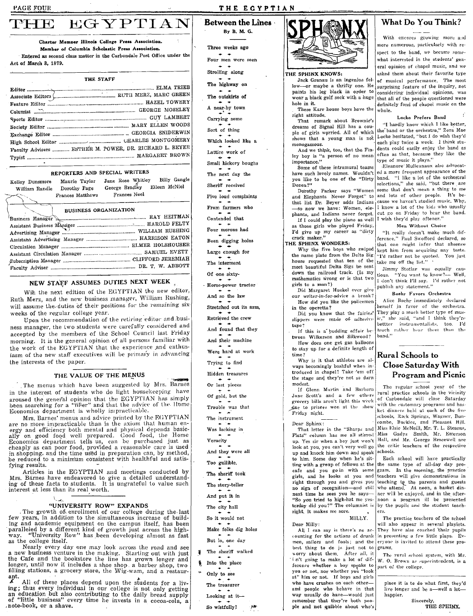Act of March 3, 1879.

Kelley Dunsmore

Advertising Manager ...

William Randle Dorothy Page

weeks of the regular college year.

the interests of the paper.

fying results.

as the college itself.

ant.

interest at less than its real worth.

Frances Matthews

EGYPTIAN

Charter Memper Illinois College Press Association.

Member of Columbia Scholastic Press Association.

THE STAFF

Faculty Advisers ............ ESTHER M. POWER, DR. RICHARD L. BEYER

REPORTERS AND SPECIAL WRITERS

**BUSINESS ORGANIZATION** 

NEW STAFF ASSUMES DUTIES NEXT WEEK

Ruth Merz, and the new business manager, William Rushing,

will assume the duties of their positions for the remaining six

ness manager, the two students were carefully considered and

accepted by the members of the School Council last Friday

morning. It is the general opinion of all persons familiar with

the work of the EGYPTIAN that the experience and enthus-

iasm of the new staff executives will be primary in advancing

THE VALUE OF THE MENUS

in the interest of students who do light housekeeping have

are the general opinion that the EGYPTIAN has simply<br>been searching for a "filler" and that the advice of the Home

Mrs. Barnes' menus and advice principle by the EGIT FIGN.<br>are no more impracticable than is the axiom that human energy and efficiency both mental and physical depends basically on good food well prepared. Good food, the H

cheaply as can poor food, provided a reasonable care is used

in shopping, and the time used in preparation can, by method,

be reduced to a minimum consistent with healthful and satis-

Mrs. Barnes have endeavored to give a detailed understanding of these facts to students. It is ungrateful to value such

"UNIVERSITY ROW" EXPANDS

few years, in addition to the simultaneous increase of building and academic equipment on the campus itself, has been

paralleled by a different kind of growth just across the high-<br>way. "University Row" has been developing almost as fast

a new business venture in the making. Starting out with just<br>the Cafe and the bookstore the line has grown longer and<br>longer, until now it includes a shoe shop. a barber shop, two<br>filling stations, a grocery store, the Wig

ing; thus every individual in our college is not only getting

an education but also contributing to the daily bread supply<br>of "little business" every time he invests in a cocoa-cola, a<br>note-book, or a shave.

Articles in the EGYPTIAN and meetings conducted by

The growth of enrollment of our college during the last

Nearly every day one may look across the road and see

All of these places depend upon the students for a liv-

Economics department is wholly impracticable.

The menus which have been suggested by Mrs. Barnes

Mrs. Barnes' menus and advice printed by the EGYPTIAN

Wih the next edition of the EGYPTIAN the new editor,

Upon the recommendation of the retiring editor and busi-

Maurie Taylor Jane Rose Whitley

Entered as second class matter in the Carbondale Post Office under the

### THE EGYPTIAN

Between the Lines By B. M. G.

Three weeks son

Four man were seen

Strolling along

The highway on

The outskirts of

A near-by town

Carrying some

Sort of thing

Which looked like a

Lattice work of

Small hickory boughs

The next day the

Billy Gangle

George Bradley Eileen McNiel

Frances Noel

Sheriff received

Five loud complaints

From farmers who

Contended that

Four morons had

Been digging holes

Large enough for

The interment

Of one sixty-

- Horse-power tractor

And so the law

Stretched out its arm.

Retrieved the crew

And found that they

And their machine

Were hard at work

Trying to find

Hidden treasures

Or lost pieces

Of gold, but the

Trouble was that

The instrument

Was lacking in

Veracity

And they were all

Too gullible.

The sheriff took

The story-teller

And put it in

The city hall

So it would not

But lo. one day

The sheriff walked

Looking at it-



### THE SPHINX KNOWS:

Jack Granau is an ingenius fellow-or maybe a thrifty one. He paints his leg black in order to wear a black golf sock with a huge hole in it.

These Karr house boys have the right attitude.

That remark about Brownie's dreams of Signal Hill has a couple of girls worried. All of which shows that a young man is not monogamous.

And we think, too, that the Fin-<br>ley boy is "a person of no mean importance."

Some of these intramural teams have such lovely names. Wouldn't you like to be one of the "Dirty Dozen?"

Dorothy Parker says "Women and Elephants Never Forget" to that list Dr. Beyer adds Indians phants, and Indians never forget. If I could play the piano as well as those girls who played Friday,

I'd give up my career as "dirty crack maker."

THE SPHINX WONDERS: Why the five boys who swiped the name plate from the Delta Sig house requested that ten of the most beautiful Delta Sigs be sent down the railroad track. (Is my mathematics wrong or is that two girls to a man?)

Did Margaret Huekel ever give our writer-in-for-advice a break? How did you like the policemen

in the operetta? Did you know that the fairies' slippers were made of adhesive

tape? If this is a budding affair be-

tween Wilkerson and Silkwood? How does one get gas balloons to stay up for a definite length of

time? Why is it that athletes are always becomingly bashful when introduced in chapel? Take 'em off the stage and they're not so darn

 $_{\rm modest.}$ If Glenn Martin and Barbara Jane Scott's and a few others grocery bills aren't light this week due to prizees won at the show Friday night.

#### Dear Sphinx:

That letter in the "Sharps and Flats" column has me all stirred Miss Gadys Smith, Mr. Emerson<br>up. Yes sir when a boy just won't Hall, and Mr. George Bracewell are look at you, you can't very well go up and knock him down and speak schools. to him. Some day when he's sitting with a group of fellows at the cafe and you go in with some girls, and he looks at you and right through you and gives you no sign of recognition-and still next time he sees you he says-"So you tried to high-hat me yes-<br>terday did you?" The columnist is right. It makes me sore.

MILLY.

Dear Milly:

All I can say is there's no accounting for the actions of drunk men, sailors and fools; and the best thing to do js. just not to worry about them. After all, it in't going to make a lot of difference whether a boy speaks to you or not, nor whether you "look at" him or not. If boys and girls who have crushes on each otherand people who behave in that way usually do have-would just remember that they're both people and not quibble about who's

### **What Do You Think?**

With encores growing more and more numerous, particularly with respect to the band, we became some-.<br>what interested in the students' general opinion of chapel music, and we asked them about their favorite type of musical performance. The most surprising feature of the inquiry, not considering individual opinions, was that all of the people questioned were definitely fond of chapel music on the whole.

### Locke Prefers Band

"I hardly know which I like better, the band or the orchestra," Zora Mae Locke hesitated, "but I do wish they'd each play twice a week. I think students could easily enjoy the band as often as that, because they like the<br>type of music it plays."

Eleanore Mulleanaux also advocated a more frequent appearance of the band. "I like a lot of the orchestral selections," she said, "but there are some that don't mean a thing to me and lots of other people. It's because we haven't studied music. Why, I know a lot of the kids who usually cut go on Friday to hear the band. I wish they'd play oftener.'

Men Without Choice

"It really doesn't make much difference," Paul Swofford declared, so that one might infer that absence kept him from acquiring any taste. "I'd rather not be quoted. You just<br>take me off the list."

Jimmy Stotlar was equally cau-<br>tious. "You want to know?-- Well, uous. Tou want to know !-- Well,<br>I don't think I'll say. I'd rather not<br>publish any statement."

### Baehr Favors Orchestra

Alice Bachr immediately declared herself in favor of the orchestra. They play a much better type of musie," she said, "and I think they're bettter instrumentalists, too. I'd huch rather hear them than the

### **Rural Schools to Close Saturday With Program and Picnic**

The regular school year of the rural practice schools in the vicinity of Carbondale will close Saturday with the customary programs and basket dinners held at each of the five schools, Rock Springs, Wagner, Bun-<br>combe, Buckles, and Pleasant Hill.<br>Miss Elsie McNeill, Mr. T. L. Stearns, the critic teachers of the respective

Each school will have practically the same type of all-day day program. In the morning, the practice teachers will give demonstrations in teaching to the parents and guests who attend. At noon, a basket dinner will be enjoyed, and in the afternoon a program ill be presented by the pupils and the student teachers.

The practice teachers of the school will also appear in several playlets. They have also coached their pupils in presenting a few little plays. Everyone is invited to attend these programs.

The rural school system, with Mr. W. O. Brown as superintendent, is a part of the college.

place it is to do what first, they'd live longer and be a-well a lothappier.

Sincerely, THE SPHINX.

Make folks dig holes Into the place Only to see

The treasurer

So wistfully!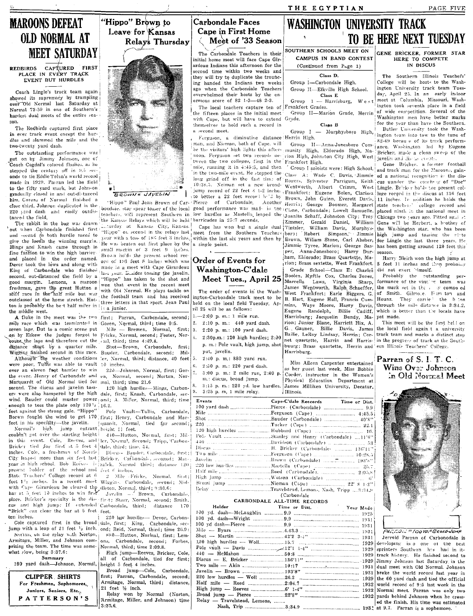"Hippo" Brown to Leave for Kansas

Relay's Thursday



BROWN & JAVELIN

gradually closed in and out-di-tanced him. Corens of Normal finished a close third. Johnson duplicated in the 220 yard dash and easily outdistanced the field. The rabbit in the bag was drawn

onds to tie Eddie Tolan's world record

made in 1929. Power led the field

to the fifty vard mork, but Johnson

**MAROONS DEFEAT** 

**REDBIRDS** 

two-twenty yard dash.

OLD NORMAL AT

PLACE IN EVERY TRACK

EVENT BUT HURDLES

**MEET SATURDAY** 

CAPTURED FIRST

give the locals the winning margin. He was beaten out first place by the Mings and Knash came through in fine fashion to win the high barrier. and placed in the order named. Devor took the lows and along with King of Carbondale who finished second, out-distanced the field by a good margin. Lemons, a maroon freshman, gave the great Hutton a stiff race in the half mile but was the football team and has received outclassed at the home stretch. Hutton is probably the best half miler in the middle west.

A fluke in the meet was the two first; Parran, Carbondale, second; mile race which was terminated in Goren, Normal, third; time 0:5. seven laps. Dut to a comic scene put on by Eskew the judges forgot to Fricke, Normal, second; Foster, Norcount the laps and therefore cut the rial, third; time 4:49.4. distance short by a quarter mile. Shot-Brown, Carbondale, first;<br>Wigging finished second in this race. Bauder, Carbondale, second; Mil-Although the weather conditions ler, Normal, third; distance, 40 feet  $\frac{5}{6}$ .<br>were poor. Tuffis was able to vault 10 inches. over an eleven foot barrier to win the event. Henry of Carbondale and Marquardt of Old Normal tied for mal, third; time 21.6 second. The discus and javelin tossers were also hampered by the high dale, first; Knash, Carbondale, secwind. Bauder could muster power one; A. Miller, Normal, third; time<br>enough to toss the plate only  $120^{12}$ ,  $16.2$ .<br>feet against the strong gale. "Hippo" Pole Vault—Tullis, Carbondale, feet in his specialty-the javelin.

Normal's high jump entrant height 11 feet. couldn't get over the starting height! inches. Cole, a freshman of Norris inches, Cole, a freshman of Norris<sup>3</sup> Discuss Bander, Carbondale, first; City leaped more than six feet last; Bricker, Carbondale, seconod; Maryear in high school. Bob Reeve- is zalek, Normal third; distance 120 present bolder of the school and fact 6 inches.<br>State Teachers' College record at 6 2 Mile - F feet 1<sup>1</sup>; inches. In a recent meet Wiggins. Carbondale, second; Midwith Cape Girardeau he cleared the dieton, Normal, third; 9:30.6;<br>bar at 5 feet 10 inches to win first.  $J_{\text{inv}}$ lin =  $\frac{1}{2}$  Brown. Carli "Brick" can clear the bar at 5 feet. feet. ten inches.

Norma, on the relay with Norton, Armitage, Miller, and Johnson comprising the team. The time was some- Normal, third; time 2:09.8. what slow, being 3:37.6: Summary

100 yard dash-Johnson, Normal, height 5 feet 4 inches. **CLIPPER SHIRTS** 

For Freshmen, Sophomores,

Juniors, Seniors, Etc.

PATTERSON'S

Coach Lingle's track team again showed its supremacy by trampling over Old Normal last Saturday at Normal 72-59 in one of Southern's hardest dual meets of the entire sea-The Redbirds captured first place in ever track event except the hurdles and slammed the mile and the The outstanding performance was put on by Jimmy Johnson, one of Coach Cogdal's colored flushes, as he stepped the century off in 9.5 sec-

bondaie, star spear tosser of the local teachers, will represent Southern in the Kansas Relays which will be held barricades in 25:7 seconds. The range in the superior term of the current of the relation of the relation of the contract to  $\frac{1}{n}$  in the relation of the contract to the contract to  $\frac{1}{n}$  and  $\frac{1}{n}$  in the contract to the contract to the turday at Kansas City, Kansas. vear with a toss of 186 feet 3 inches small markin of 3 feet 9 inches. Brown holds the present school record of 193 feet 8 inches which was made in a meet with Cape Girardeau last year. Busides tossing the javelin, "Hippo" has taken to the shot and won that event in the recent meet with Old Normal. He plays tackle on three letters in that sport. Jean Paul i: a junior.

Shot-Brown, Carbondale, first;

22d-Johnson, Normal first: Goren. Normal, second: Norton, Nor-

120 high hurdles-Mings, Carbon-

Borwn fought the wind to get 170 first; Henry, Carbondale and Marquardt, Normal, tied for second:

440-Hutton, Normal, first; Milin this event. Cole, Reeves, and ler, Normal, Second; Tripp, Carbon-Bricker tied for first at 5 feet 4 dale, third; time, 54.

Mile - Fricke, Normal, first;

 $J_0$ velin  $-$ Brown, Carbondale, nar at operator's specialty is the dis-rip-t; Starr, Normal, second; Smith.<br>place. Bricker's specialty is the dis-rip-t; Starr, Normal, second; Smith.<br>cus and high jump: If extended Carbondale, third; distance 170

220 lew hurdles- Devor, Carbon-Cole captured first in the broad dale, first; King, Carbondale, secjump with a leap of 21 feet  $1<sub>2</sub>$  inch. ond; Reid, Normal, third; time 26.9: 880-Hutton, Normal, first; Lemons, Carbondale, second; Forbes,

High jump-Reeves, Bricker, Cole, all of Carbondale, tied for first;

Broad jump-Cole, first; Parran, Carbondale, second; Armitage, Normal, third; distance, 21 feet  $\frac{1}{2}$  inch. Relay won by Normal (Norton, Armitage, Miller, and Johnson) time  $3:37.6$ 

### Carbondale Faces Cape in First Home Meet of '33 Season

The Carbondale Teachers in their initial home meet will face Cape Girardeau Indians this afternoon for the second time within two weeks and they will try to duplicate the trouncing handed the Indians two weeks ago when the Carbondale Teachers overwhelmed their hosts by the en-

ormous score of 82  $1-3$ -48  $2-3$ The local teachers capture ten of the fifteen places in the initial meet with Cape, but will have to extend Grade. themselves to hold such a record in a second meet.

Ferguson, a diminutive distance Herrin High. man, and Nieman, both of Cape, will be the visitors' high lights this after-munity High, Eldorado High, Manoon. Ferguson set two records netween the two colleges, first in the Frankfort High. mile, running it in  $4:45:5$ , and then in the two-mile event. He stepped the long grind off in the fast time of 10:38.5. Neiman set a new broadto better a 22 feet record  $h'J$  by low hurdles as Mastella leaped the Juanita Schaff, Johnston City; Troy

within the last six years and then by Brown, Wiliam Stone, Carl Absher, a single point.

### Order of Events for Washington-C'dale Meet Tues., April 25

The order of events in the Wash ington-Carbondale track meet to be held on the local field Tuesday, April 25 will be as follows:

- 1.-2:00 p.m.: 1 mile run.
- 2. 2:10 p.m.: 440 yard dash. Mile -- Bremen, Normal, first; 3. 2:20 p. m.: 100 yard dash.
	-
	- 4.  $2:30p.m.:120 high hundreds:2:00$ p. m.: Pole vault, high jump, shot put, javelin.
		- $2:40$  p. m.: 880 yard run.

2:50 p. m.: 220 yard dash.  $6.$  $\tau$ . 3:00 p. m.: 2 mile run, 2:40 p. m.: discus, broad jump. 8.

3:15 p. m.: 220 yd. low hurdles. 9. 3:25 p. m, 1 mile relay.

| Events | Cape-C'dale Reccords Time or Dist.     |  |  |
|--------|----------------------------------------|--|--|
|        | 100 yard dash Pierce (Carbondale)  9.9 |  |  |
|        |                                        |  |  |
|        |                                        |  |  |
|        |                                        |  |  |
|        |                                        |  |  |
|        |                                        |  |  |
|        |                                        |  |  |
|        |                                        |  |  |
|        |                                        |  |  |
|        |                                        |  |  |
|        |                                        |  |  |
|        |                                        |  |  |
|        |                                        |  |  |
|        |                                        |  |  |
|        |                                        |  |  |
|        | $\int \frac{1}{2}$                     |  |  |

### CARBONDALE ALL-TIME RECORDS

| .st.pace accepted records    |                         |  |  |
|------------------------------|-------------------------|--|--|
| Holder                       | Time or Dist. Year Made |  |  |
|                              |                         |  |  |
|                              |                         |  |  |
|                              |                         |  |  |
|                              |                         |  |  |
|                              |                         |  |  |
|                              |                         |  |  |
|                              |                         |  |  |
|                              |                         |  |  |
|                              |                         |  |  |
|                              |                         |  |  |
|                              |                         |  |  |
|                              |                         |  |  |
|                              |                         |  |  |
|                              |                         |  |  |
|                              |                         |  |  |
| Relay - Travelstead, Lemons, |                         |  |  |
|                              |                         |  |  |

### **WASHINGTON UNIVERSITY TRACK** TO BE HERE NEXT TUESDAY

SOUTHERN SCHOOLS MEET ON GENE BRICKER, FORMER STAR CAMPUS IN BAND CONTEST (Continued from Page 1)

### Class<sub>D</sub>

THE EGYPTIAN

Group I-Carbondale High. Group II-Eikville High School. Class E Group 1 - Harrisburg,

rankfort Grades. Group II-Marion Grade, Herrin

#### Clare R

Group I - Murphysboro High,

vion High, Johnston City High, West javelin and discussed

Group I soloists were: High School, Class A: Wade C. Davis, Jimmie ed a national recognition in the dis-Rogers, Sylvester Parrigum, Keith cus uunder the concheg of "Doc" Wentworth, Albert Crimm, West Lingle. Bricker ho'ds the present coljump record of 22 feet 3 1-2 inches Frankfort: Eugene Bolen, Clarissa lege record in the discus at 136 feet Brown, John Guinn, Everett Davis, 11 inches. In addition he holds the "Hippo" Paul Jean Brown of Car-Pierce of Carbondale. Another Herrin; George Boomer, Margaret good performance was made in the Cisne, Carbondale; Lowell Samuelle, Gerald Daniel, William Zimmer, Cape has won but a single dual Tintsler, William Davis, Murphys-<br>meet from the Southern Teachers bors, Nilliam Davis, Murphys-Jimmie Tyree, Marion; George Sasham, Eldorado; Brass Quartette, Marion; Brass sextette. West Frankfort. Grade School-Class E: Charles Boolen, Myrtle Cox, Charles Jones. Marcella Laws, Virginia Sharp, James Wentworth, Ralph Schaeffer, James Wentworth, Raipn Schaerter, West Frankfort; Earle Biggers, G. B. Hart, Eugene Hall, Francis Cummins, Waye Moore, Harry Davis, Eugene Randolph, Billie Cadiff, Harrisburg; Jacquelin Bundy, Marion; Junior Blane, Harriett Hix, A. G. Gauner, Billie Davis, James Bailie, LeRoy Lindsay, Herrin; Cornet quartette, Harrin and Harrisbuurg; Brass quartette, Herrin and Harrisburg.

> Miss Aileen Carpenter entertained as her guest last week, Miss Bobbie Corder, instructor in the Women's Physical Education Department at James Milliken University, Decatur, Illinois.

1929

1929

1929

1931

1931

1929

1932

IN DISCUS The Southern Illinois Teachers' College will be hosts to the Washington University track team Tuesday, April 25. In an early indoor meet at Columbia, Missouri, Washington took seventh place in a field of wide competition. Several of the Washington men have better marks for the year than have the Southern.

HERE TO COMPETE

Butler University took the Washlington team into tow to the tune of 82-49 becau e of its track perform-Group II-Anna-Jonesboro Com- ance. Washington led by Eugene Bricker, made a clean sweep of the

Gene Bricker, a former football and track man for the Maroons, gainstate teachers' college record and placed ninth in the national meet in Chicago two years ago. Pitted agai st Gene will be Herbert, a brother of the Washington star, who has been high jump and tossing the rinte for Lingle the last three years. He has been getting around 120 feet this season.

Harry Bleich won the high jump at 5 feet 11 inches and then probably did not exert 'imself.

Probably the outstanding performance of the visiting team was the mark set in the y compo ed of Smith. Gilmote. Fum ton and They carrie! the b ton Hounz through the mile distance in 3:34.2, which is better than the locals have yet made.

This meet will be the first hell on the local field again t a university track team and marks a distinct step in the progress of track at the Southern Illinois Teachers' College

### Parran of S. I. T. C. Wins Over Johnson  $\mathop{\mathrm{ind}}\nolimits$  Normal Meet



PACCON = 100TO- BEORD JUMP Jerrold Parran of Carbonodale is developing into one of the best sprinters Southern has had in it-1929 track history. He finished second to Jimmy Johnson last Saturday in the dual meet with Old Normal. Johnson broke the world record last year in the 60 yard dash and tied the official world record of 9:5 last week in the 1932 Normal meet. Parran was only two 1932 yards behind Johnson when he crossed the finish. His time was estimated 1932 at 9.7. Parran is a sophomore.

Dis Tu Carbondale, Ла  $\overline{22}$  $H\varepsilon$ 

Ł